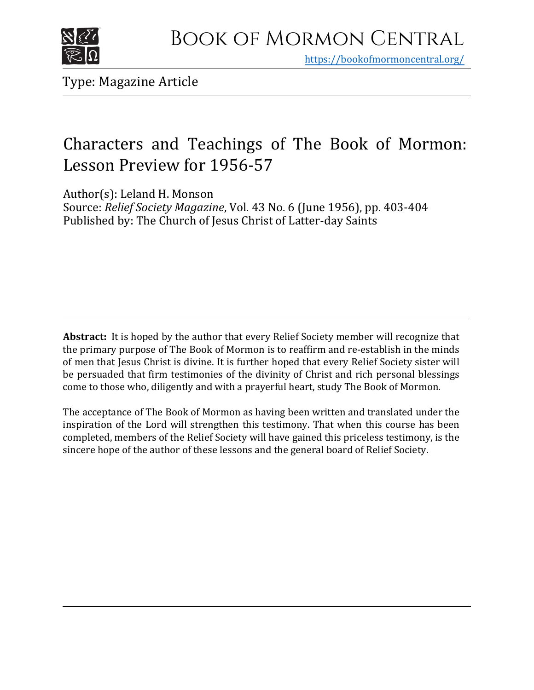

https[://bookofmormoncentral.org/](http://bookofmormoncentral.org/)

Type: Magazine Article

# Characters and Teachings of The Book of Mormon: Lesson Preview for 1956-57

Author(s): Leland H. Monson

Source: *Relief Society Magazine*, Vol. 43 No. 6 (June 1956), pp. 403-404 Published by: The Church of Jesus Christ of Latter-day Saints

**Abstract:** It is hoped by the author that every Relief Society member will recognize that the primary purpose of The Book of Mormon is to reaffirm and re-establish in the minds of men that Jesus Christ is divine. It is further hoped that every Relief Society sister will be persuaded that firm testimonies of the divinity of Christ and rich personal blessings come to those who, diligently and with a prayerful heart, study The Book of Mormon.

The acceptance of The Book of Mormon as having been written and translated under the inspiration of the Lord will strengthen this testimony. That when this course has been completed, members of the Relief Society will have gained this priceless testimony, is the sincere hope of the author of these lessons and the general board of Relief Society.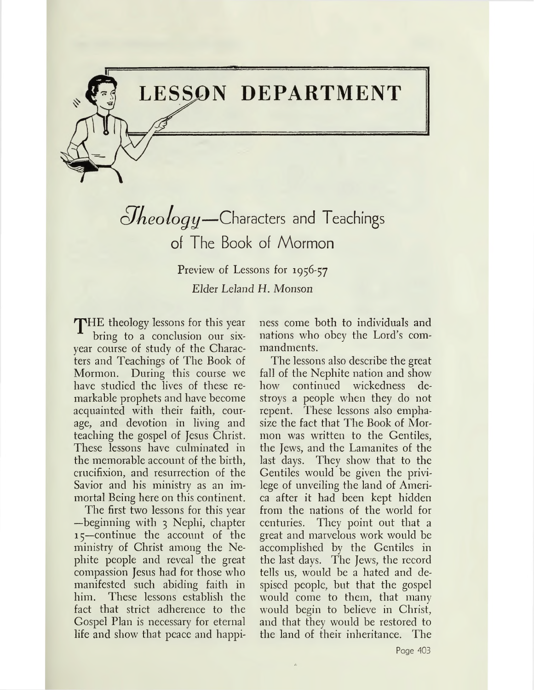# **LESSON DEPARTMENT**

*cJkeologg—*Characters and Teachings of The Book of Mormon

> Preview of Lessons for 1956-57 *Elder Leland H. Monson*

THE theology lessons for this year bring to a conclusion our sixyear course of study of the Characters and Teachings of The Book of Mormon. During this course we have studied the lives of these remarkable prophets and have become acquainted with their faith, courage, and devotion in living and teaching the gospel of Jesus Christ. These lessons have culminated in the memorable account of the birth, crucifixion, and resurrection of the Savior and his ministry as an immortal Being here on this continent.

The first two lessons for this year —beginning with <sup>3</sup> Nephi, chapter 15—continue the account of the ministry of Christ among the Nephite people and reveal the great compassion Jesus had for those who manifested such abiding faith in him. These lessons establish the fact that strict adherence to the Gospel Plan is necessary for eternal life and show that peace and happiness come both to individuals and nations who obey the Lord's commandments.

The lessons also describe the great fall of the Nephite nation and show how continued wickedness destroys a people when they do not repent. These lessons also emphasize the fact that The Book of Mormon was written to the Gentiles, the Jews, and the Lamanites of the last days. They show that to the Gentiles would be given the privilege of unveiling the land of America after it had been kept hidden from the nations of the world for centuries. They point out that a great and marvelous work would be accomplished by the Gentiles in the last days. The Jews, the record tells us, would be a hated and despised people, but that the gospel would come to them, that many would begin to believe in Christ, and that they would be restored to the land of their inheritance. The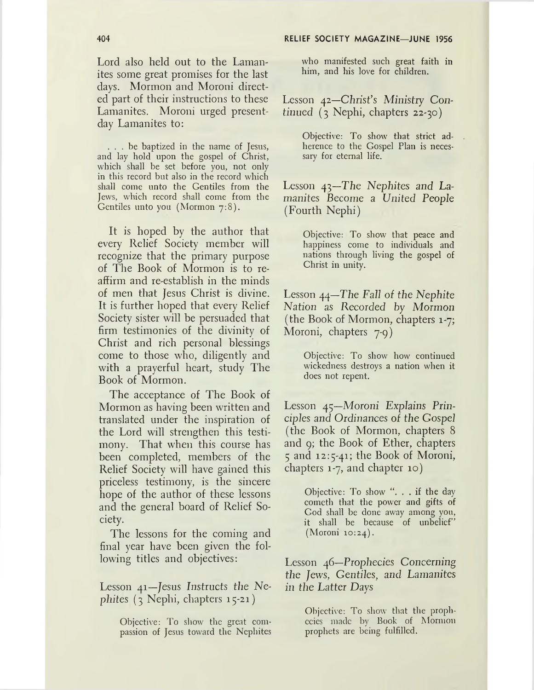Lord also held out to the Lamanites some great promises for the last days. Mormon and Moroni directed part of their instructions to these Lamanites. Moroni urged presentday Lamanites to:

... be baptized in the name of Jesus, and lay hold upon the gospel of Christ, which shall be set before you, not only in this record but also in the record which shall come unto the Gentiles from the Jews, which record shall come from the Gentiles unto you (Mormon 7:8).

It is hoped by the author that every Relief Society member will recognize that the primary purpose of The Book of Mormon is to reaffirm and re-establish in the minds of men that Jesus Christ is divine. It is further hoped that every Relief Society sister will be persuaded that firm testimonies of the divinity of Christ and rich personal blessings come to those who, diligently and with a prayerful heart, study The Book of Mormon.

The acceptance of The Book of Mormon as having been written and translated under the inspiration of the Lord will strengthen this testimony. That when this course has been completed, members of the Relief Society will have gained this priceless testimony, is the sincere hope of the author of these lessons and the general board of Relief Society.

The lessons for the coming and final year have been given the following titles and objectives:

Lesson 41—Jesus Instructs the Ne*pliites (3* Nephi, chapters 15-21)

> Objective: To show the great compassion of Jesus toward the Nephites

who manifested such great faith in him, and his love for children.

Lesson 42—Christ's Ministry *Continued* (3 Nephi, chapters 22-30)

> Objective: To show that strict adherence to the Gospel Plan is necessary for eternal life.

Lesson 43—The *Nephites and Lamanites Become a United People* (Fourth Nephi)

> Objective: To show that peace and happiness come to individuals and nations through living the gospel of Christ in unity.

Lesson 44—The *Fall of the Nephite Nation as Recorded by Mormon* (the Book of Mormon, chapters 1-7; Moroni, chapters 7-9)

> Objective: To show how continued wickedness destroys a nation when it does not repent.

Lesson 45—*Moroni Explains Principles and Ordinances of the Gospel* (the Book of Mormon, chapters 8 and 9; the Book of Ether, chapters <sup>5</sup> and 12:5-41; the Book of Moroni, chapters 1-7, and chapter 10)

> Objective: To show ". . . if the day cometh that the power and gifts of God shall be done away among you, it shall be because of unbelief" (Moroni 10:24).

Lesson 46—Prophecies Concerning *the Jews, Gentiles, and Lamanites in the Latter Days*

> Objective: To show that the prophecies made by Book of Mormon prophets are being fulfilled.